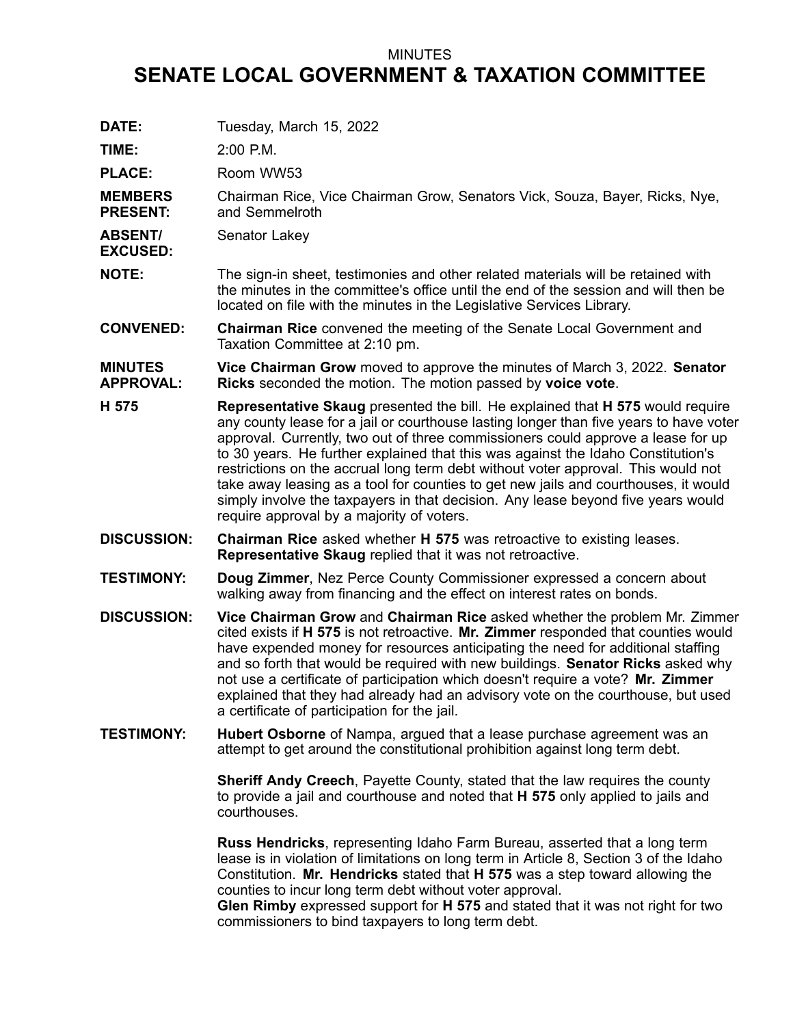## MINUTES

## **SENATE LOCAL GOVERNMENT & TAXATION COMMITTEE**

| DATE:                              | Tuesday, March 15, 2022                                                                                                                                                                                                                                                                                                                                                                                                                                                                                                                                                                                                                                                     |
|------------------------------------|-----------------------------------------------------------------------------------------------------------------------------------------------------------------------------------------------------------------------------------------------------------------------------------------------------------------------------------------------------------------------------------------------------------------------------------------------------------------------------------------------------------------------------------------------------------------------------------------------------------------------------------------------------------------------------|
| TIME:                              | 2:00 P.M.                                                                                                                                                                                                                                                                                                                                                                                                                                                                                                                                                                                                                                                                   |
| <b>PLACE:</b>                      | Room WW53                                                                                                                                                                                                                                                                                                                                                                                                                                                                                                                                                                                                                                                                   |
| <b>MEMBERS</b><br><b>PRESENT:</b>  | Chairman Rice, Vice Chairman Grow, Senators Vick, Souza, Bayer, Ricks, Nye,<br>and Semmelroth                                                                                                                                                                                                                                                                                                                                                                                                                                                                                                                                                                               |
| <b>ABSENT/</b><br><b>EXCUSED:</b>  | Senator Lakey                                                                                                                                                                                                                                                                                                                                                                                                                                                                                                                                                                                                                                                               |
| <b>NOTE:</b>                       | The sign-in sheet, testimonies and other related materials will be retained with<br>the minutes in the committee's office until the end of the session and will then be<br>located on file with the minutes in the Legislative Services Library.                                                                                                                                                                                                                                                                                                                                                                                                                            |
| <b>CONVENED:</b>                   | <b>Chairman Rice</b> convened the meeting of the Senate Local Government and<br>Taxation Committee at 2:10 pm.                                                                                                                                                                                                                                                                                                                                                                                                                                                                                                                                                              |
| <b>MINUTES</b><br><b>APPROVAL:</b> | Vice Chairman Grow moved to approve the minutes of March 3, 2022. Senator<br>Ricks seconded the motion. The motion passed by voice vote.                                                                                                                                                                                                                                                                                                                                                                                                                                                                                                                                    |
| H 575                              | <b>Representative Skaug</b> presented the bill. He explained that <b>H 575</b> would require<br>any county lease for a jail or courthouse lasting longer than five years to have voter<br>approval. Currently, two out of three commissioners could approve a lease for up<br>to 30 years. He further explained that this was against the Idaho Constitution's<br>restrictions on the accrual long term debt without voter approval. This would not<br>take away leasing as a tool for counties to get new jails and courthouses, it would<br>simply involve the taxpayers in that decision. Any lease beyond five years would<br>require approval by a majority of voters. |
| <b>DISCUSSION:</b>                 | <b>Chairman Rice</b> asked whether <b>H 575</b> was retroactive to existing leases.<br><b>Representative Skaug</b> replied that it was not retroactive.                                                                                                                                                                                                                                                                                                                                                                                                                                                                                                                     |
| <b>TESTIMONY:</b>                  | Doug Zimmer, Nez Perce County Commissioner expressed a concern about<br>walking away from financing and the effect on interest rates on bonds.                                                                                                                                                                                                                                                                                                                                                                                                                                                                                                                              |
| <b>DISCUSSION:</b>                 | Vice Chairman Grow and Chairman Rice asked whether the problem Mr. Zimmer<br>cited exists if H 575 is not retroactive. Mr. Zimmer responded that counties would<br>have expended money for resources anticipating the need for additional staffing<br>and so forth that would be required with new buildings. Senator Ricks asked why<br>not use a certificate of participation which doesn't require a vote? Mr. Zimmer<br>explained that they had already had an advisory vote on the courthouse, but used<br>a certificate of participation for the jail.                                                                                                                |
| <b>TESTIMONY:</b>                  | Hubert Osborne of Nampa, argued that a lease purchase agreement was an<br>attempt to get around the constitutional prohibition against long term debt.                                                                                                                                                                                                                                                                                                                                                                                                                                                                                                                      |
|                                    | Sheriff Andy Creech, Payette County, stated that the law requires the county<br>to provide a jail and courthouse and noted that H 575 only applied to jails and<br>courthouses.                                                                                                                                                                                                                                                                                                                                                                                                                                                                                             |
|                                    | <b>Russ Hendricks</b> , representing Idaho Farm Bureau, asserted that a long term<br>lease is in violation of limitations on long term in Article 8, Section 3 of the Idaho<br>Constitution. Mr. Hendricks stated that H 575 was a step toward allowing the<br>counties to incur long term debt without voter approval.                                                                                                                                                                                                                                                                                                                                                     |

**Glen Rimby** expressed support for **H 575** and stated that it was not right for two commissioners to bind taxpayers to long term debt.